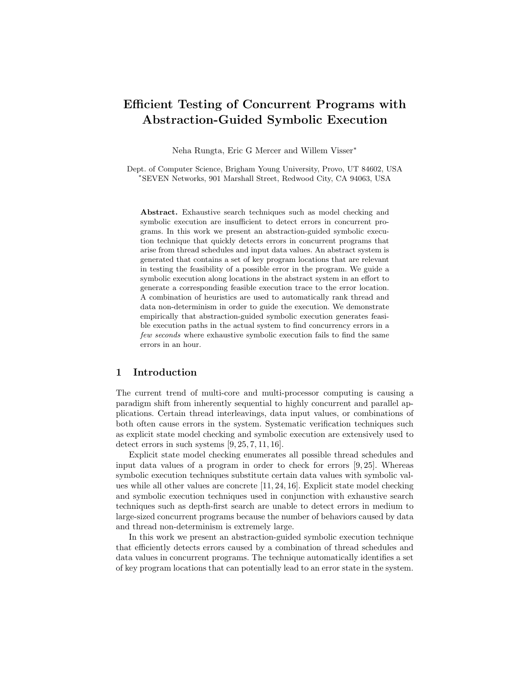# Efficient Testing of Concurrent Programs with Abstraction-Guided Symbolic Execution

Neha Rungta, Eric G Mercer and Willem Visser<sup>∗</sup>

Dept. of Computer Science, Brigham Young University, Provo, UT 84602, USA <sup>∗</sup>SEVEN Networks, 901 Marshall Street, Redwood City, CA 94063, USA

Abstract. Exhaustive search techniques such as model checking and symbolic execution are insufficient to detect errors in concurrent programs. In this work we present an abstraction-guided symbolic execution technique that quickly detects errors in concurrent programs that arise from thread schedules and input data values. An abstract system is generated that contains a set of key program locations that are relevant in testing the feasibility of a possible error in the program. We guide a symbolic execution along locations in the abstract system in an effort to generate a corresponding feasible execution trace to the error location. A combination of heuristics are used to automatically rank thread and data non-determinism in order to guide the execution. We demonstrate empirically that abstraction-guided symbolic execution generates feasible execution paths in the actual system to find concurrency errors in a few seconds where exhaustive symbolic execution fails to find the same errors in an hour.

## 1 Introduction

The current trend of multi-core and multi-processor computing is causing a paradigm shift from inherently sequential to highly concurrent and parallel applications. Certain thread interleavings, data input values, or combinations of both often cause errors in the system. Systematic verification techniques such as explicit state model checking and symbolic execution are extensively used to detect errors in such systems [9, 25, 7, 11, 16].

Explicit state model checking enumerates all possible thread schedules and input data values of a program in order to check for errors [9, 25]. Whereas symbolic execution techniques substitute certain data values with symbolic values while all other values are concrete [11, 24, 16]. Explicit state model checking and symbolic execution techniques used in conjunction with exhaustive search techniques such as depth-first search are unable to detect errors in medium to large-sized concurrent programs because the number of behaviors caused by data and thread non-determinism is extremely large.

In this work we present an abstraction-guided symbolic execution technique that efficiently detects errors caused by a combination of thread schedules and data values in concurrent programs. The technique automatically identifies a set of key program locations that can potentially lead to an error state in the system.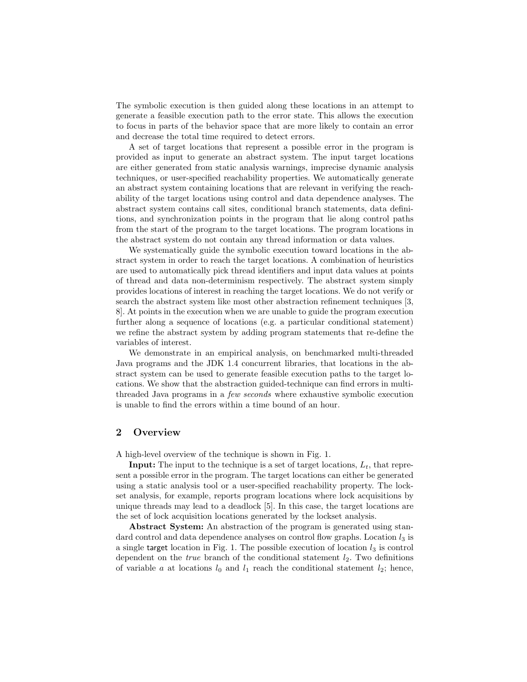The symbolic execution is then guided along these locations in an attempt to generate a feasible execution path to the error state. This allows the execution to focus in parts of the behavior space that are more likely to contain an error and decrease the total time required to detect errors.

A set of target locations that represent a possible error in the program is provided as input to generate an abstract system. The input target locations are either generated from static analysis warnings, imprecise dynamic analysis techniques, or user-specified reachability properties. We automatically generate an abstract system containing locations that are relevant in verifying the reachability of the target locations using control and data dependence analyses. The abstract system contains call sites, conditional branch statements, data definitions, and synchronization points in the program that lie along control paths from the start of the program to the target locations. The program locations in the abstract system do not contain any thread information or data values.

We systematically guide the symbolic execution toward locations in the abstract system in order to reach the target locations. A combination of heuristics are used to automatically pick thread identifiers and input data values at points of thread and data non-determinism respectively. The abstract system simply provides locations of interest in reaching the target locations. We do not verify or search the abstract system like most other abstraction refinement techniques [3, 8]. At points in the execution when we are unable to guide the program execution further along a sequence of locations (e.g. a particular conditional statement) we refine the abstract system by adding program statements that re-define the variables of interest.

We demonstrate in an empirical analysis, on benchmarked multi-threaded Java programs and the JDK 1.4 concurrent libraries, that locations in the abstract system can be used to generate feasible execution paths to the target locations. We show that the abstraction guided-technique can find errors in multithreaded Java programs in a few seconds where exhaustive symbolic execution is unable to find the errors within a time bound of an hour.

## 2 Overview

A high-level overview of the technique is shown in Fig. 1.

**Input:** The input to the technique is a set of target locations,  $L_t$ , that represent a possible error in the program. The target locations can either be generated using a static analysis tool or a user-specified reachability property. The lockset analysis, for example, reports program locations where lock acquisitions by unique threads may lead to a deadlock [5]. In this case, the target locations are the set of lock acquisition locations generated by the lockset analysis.

Abstract System: An abstraction of the program is generated using standard control and data dependence analyses on control flow graphs. Location  $l_3$  is a single target location in Fig. 1. The possible execution of location  $l_3$  is control dependent on the *true* branch of the conditional statement  $l_2$ . Two definitions of variable a at locations  $l_0$  and  $l_1$  reach the conditional statement  $l_2$ ; hence,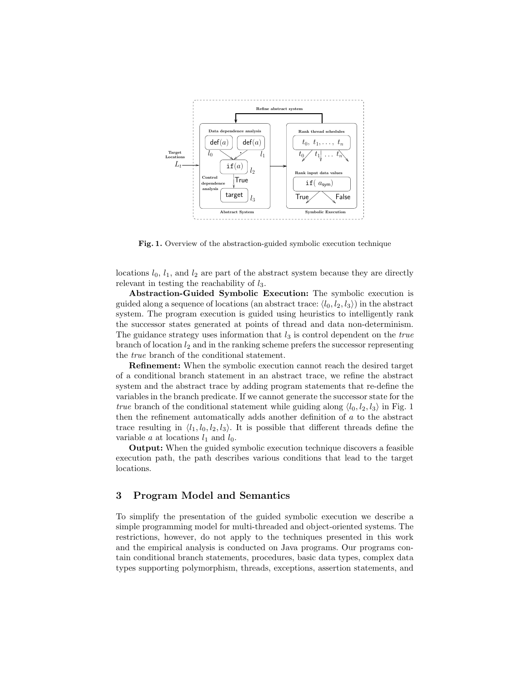

Fig. 1. Overview of the abstraction-guided symbolic execution technique

locations  $l_0$ ,  $l_1$ , and  $l_2$  are part of the abstract system because they are directly relevant in testing the reachability of  $l_3$ .

Abstraction-Guided Symbolic Execution: The symbolic execution is guided along a sequence of locations (an abstract trace:  $\langle l_0, l_2, l_3 \rangle$ ) in the abstract system. The program execution is guided using heuristics to intelligently rank the successor states generated at points of thread and data non-determinism. The guidance strategy uses information that  $l_3$  is control dependent on the *true* branch of location  $l_2$  and in the ranking scheme prefers the successor representing the true branch of the conditional statement.

Refinement: When the symbolic execution cannot reach the desired target of a conditional branch statement in an abstract trace, we refine the abstract system and the abstract trace by adding program statements that re-define the variables in the branch predicate. If we cannot generate the successor state for the true branch of the conditional statement while guiding along  $\langle l_0, l_2, l_3 \rangle$  in Fig. 1 then the refinement automatically adds another definition of a to the abstract trace resulting in  $\langle l_1, l_0, l_2, l_3 \rangle$ . It is possible that different threads define the variable a at locations  $l_1$  and  $l_0$ .

Output: When the guided symbolic execution technique discovers a feasible execution path, the path describes various conditions that lead to the target locations.

## 3 Program Model and Semantics

To simplify the presentation of the guided symbolic execution we describe a simple programming model for multi-threaded and object-oriented systems. The restrictions, however, do not apply to the techniques presented in this work and the empirical analysis is conducted on Java programs. Our programs contain conditional branch statements, procedures, basic data types, complex data types supporting polymorphism, threads, exceptions, assertion statements, and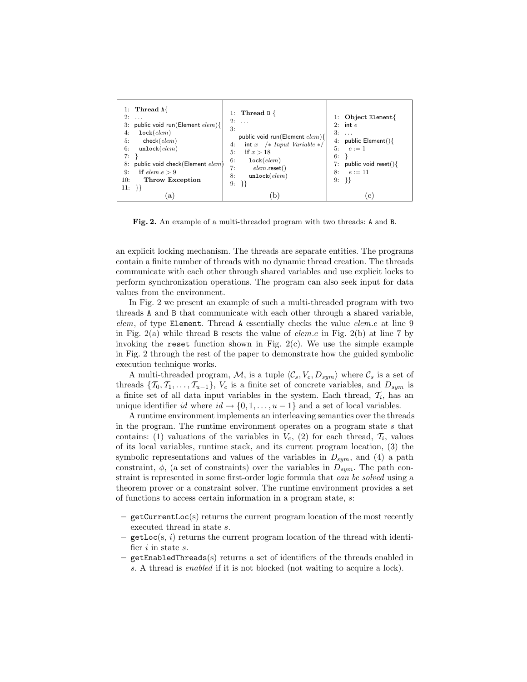| 1: Thread $A\{$<br>2:<br>$\cdots$<br>public void run(Element elem){<br>3:<br>lock(elem)<br>4:<br>5:<br>check(elem)<br>unlock(elem)<br>6:<br>7:<br>public void check (Element elem)<br>8:<br>if $elem.e > 9$<br>9:<br>Throw Exception<br>10:<br>$11: \{\}$ | 1: Thread $B \{$<br>$2: \ldots$<br>3:<br>public void run(Element $elem$ ){<br>$int x$ /* Input Variable */<br>4:<br>5:<br>if $x > 18$<br>6:<br>lock(elem)<br>7:<br>$elem.\text{reset}()$<br>unlock(elem)<br>8:<br>9:<br>$\{ \}$ | 1: Object Element{<br>$2:$ int $e$<br>3:<br>$\cdots$<br>4: public Element() $\{$<br>5: $e := 1$<br>6:<br>public void reset() $\{$<br>7:<br>$e := 11$<br>8:<br>9:<br>- } } |
|-----------------------------------------------------------------------------------------------------------------------------------------------------------------------------------------------------------------------------------------------------------|---------------------------------------------------------------------------------------------------------------------------------------------------------------------------------------------------------------------------------|---------------------------------------------------------------------------------------------------------------------------------------------------------------------------|
| a                                                                                                                                                                                                                                                         | b                                                                                                                                                                                                                               | . C                                                                                                                                                                       |

Fig. 2. An example of a multi-threaded program with two threads: A and B.

an explicit locking mechanism. The threads are separate entities. The programs contain a finite number of threads with no dynamic thread creation. The threads communicate with each other through shared variables and use explicit locks to perform synchronization operations. The program can also seek input for data values from the environment.

In Fig. 2 we present an example of such a multi-threaded program with two threads A and B that communicate with each other through a shared variable, elem, of type Element. Thread A essentially checks the value elem.e at line 9 in Fig. 2(a) while thread B resets the value of *elem.e* in Fig. 2(b) at line 7 by invoking the reset function shown in Fig.  $2(c)$ . We use the simple example in Fig. 2 through the rest of the paper to demonstrate how the guided symbolic execution technique works.

A multi-threaded program, M, is a tuple  $\langle C_s, V_c, D_{sym} \rangle$  where  $C_s$  is a set of threads  $\{T_0, T_1, \ldots, T_{u-1}\}\$ ,  $V_c$  is a finite set of concrete variables, and  $D_{sym}$  is a finite set of all data input variables in the system. Each thread,  $\mathcal{T}_i$ , has an unique identifier id where  $id \rightarrow \{0, 1, \ldots, u-1\}$  and a set of local variables.

A runtime environment implements an interleaving semantics over the threads in the program. The runtime environment operates on a program state  $s$  that contains: (1) valuations of the variables in  $V_c$ , (2) for each thread,  $\mathcal{T}_i$ , values of its local variables, runtime stack, and its current program location, (3) the symbolic representations and values of the variables in  $D_{sym}$ , and (4) a path constraint,  $\phi$ , (a set of constraints) over the variables in  $D_{sum}$ . The path constraint is represented in some first-order logic formula that can be solved using a theorem prover or a constraint solver. The runtime environment provides a set of functions to access certain information in a program state, s:

- getCurrentLoc(s) returns the current program location of the most recently executed thread in state s.
- $getLoc(s, i)$  returns the current program location of the thread with identifier  $i$  in state  $s$ .
- getEnabledThreads(s) returns a set of identifiers of the threads enabled in s. A thread is enabled if it is not blocked (not waiting to acquire a lock).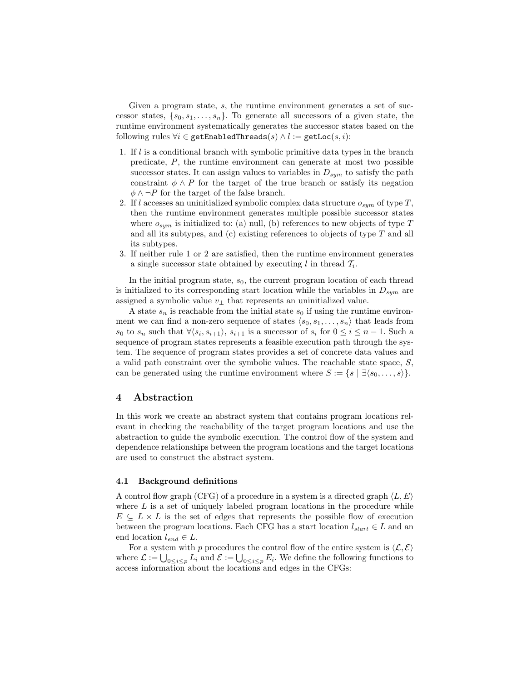Given a program state, s, the runtime environment generates a set of successor states,  $\{s_0, s_1, \ldots, s_n\}$ . To generate all successors of a given state, the runtime environment systematically generates the successor states based on the following rules  $\forall i \in \texttt{getEnabledThreads}(s) \land l := \texttt{getLoc}(s, i)$ :

- 1. If l is a conditional branch with symbolic primitive data types in the branch predicate, P, the runtime environment can generate at most two possible successor states. It can assign values to variables in  $D_{sym}$  to satisfy the path constraint  $\phi \wedge P$  for the target of the true branch or satisfy its negation  $\phi \wedge \neg P$  for the target of the false branch.
- 2. If l accesses an uninitialized symbolic complex data structure  $o_{sym}$  of type  $T$ , then the runtime environment generates multiple possible successor states where  $o_{sum}$  is initialized to: (a) null, (b) references to new objects of type T and all its subtypes, and (c) existing references to objects of type T and all its subtypes.
- 3. If neither rule 1 or 2 are satisfied, then the runtime environment generates a single successor state obtained by executing l in thread  $\mathcal{T}_i$ .

In the initial program state,  $s<sub>0</sub>$ , the current program location of each thread is initialized to its corresponding start location while the variables in  $D_{sym}$  are assigned a symbolic value  $v_{\perp}$  that represents an uninitialized value.

A state  $s_n$  is reachable from the initial state  $s_0$  if using the runtime environment we can find a non-zero sequence of states  $\langle s_0, s_1, \ldots, s_n \rangle$  that leads from  $s_0$  to  $s_n$  such that  $\forall \langle s_i, s_{i+1} \rangle$ ,  $s_{i+1}$  is a successor of  $s_i$  for  $0 \le i \le n-1$ . Such a sequence of program states represents a feasible execution path through the system. The sequence of program states provides a set of concrete data values and a valid path constraint over the symbolic values. The reachable state space, S, can be generated using the runtime environment where  $S := \{s \mid \exists \langle s_0, \ldots, s \rangle\}.$ 

## 4 Abstraction

In this work we create an abstract system that contains program locations relevant in checking the reachability of the target program locations and use the abstraction to guide the symbolic execution. The control flow of the system and dependence relationships between the program locations and the target locations are used to construct the abstract system.

#### 4.1 Background definitions

A control flow graph (CFG) of a procedure in a system is a directed graph  $\langle L, E \rangle$ where  $L$  is a set of uniquely labeled program locations in the procedure while  $E \subseteq L \times L$  is the set of edges that represents the possible flow of execution between the program locations. Each CFG has a start location  $l_{start} \in L$  and an end location  $l_{end} \in L$ .

For a system with p procedures the control flow of the entire system is  $\langle \mathcal{L}, \mathcal{E} \rangle$ where  $\mathcal{L} := \bigcup_{0 \leq i \leq p} L_i$  and  $\mathcal{E} := \bigcup_{0 \leq i \leq p} E_i$ . We define the following functions to access information about the locations and edges in the CFGs: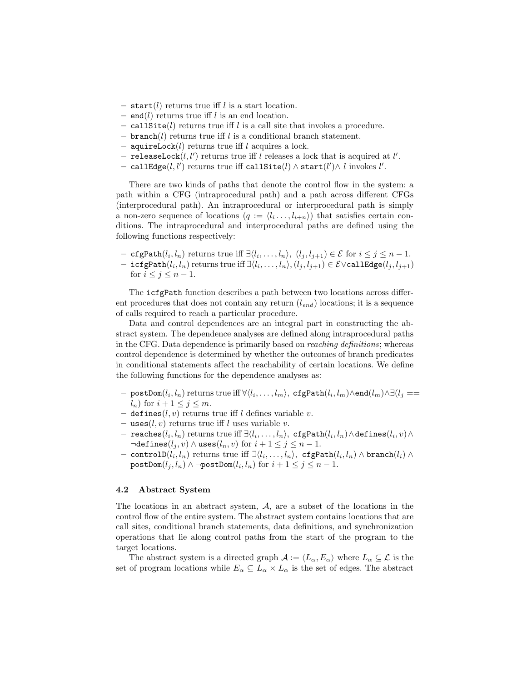- start(l) returns true iff l is a start location.
- end(l) returns true iff l is an end location.
- call site  $(l)$  returns true if  $l$  is a call site that invokes a procedure.
- branch(l) returns true iff l is a conditional branch statement.
- aquireLock $(l)$  returns true iff  $l$  acquires a lock.
- releaseLock $(l, l')$  returns true iff l releases a lock that is acquired at l'.
- − callEdge $(l,l')$  returns true iff callSite $(l) \wedge {\tt start}(l') \wedge l$  invokes  $l'.$

There are two kinds of paths that denote the control flow in the system: a path within a CFG (intraprocedural path) and a path across different CFGs (interprocedural path). An intraprocedural or interprocedural path is simply a non-zero sequence of locations  $(q := \langle l_i \ldots, l_{i+n} \rangle)$  that satisfies certain conditions. The intraprocedural and interprocedural paths are defined using the following functions respectively:

- cfgPath $(l_i, l_n)$  returns true iff  $\exists \langle l_i, \ldots, l_n \rangle, (l_j, l_{j+1}) \in \mathcal{E}$  for  $i \leq j \leq n-1$ .
- $-$  icfgPath $(l_i, l_n)$  returns true iff  $\exists \langle l_i, \ldots, l_n \rangle, (l_j, l_{j+1}) \in \mathcal{E} \vee$ callEdge $(l_j, l_{j+1})$ for  $i \leq j \leq n-1$ .

The icfgPath function describes a path between two locations across different procedures that does not contain any return  $(l_{end})$  locations; it is a sequence of calls required to reach a particular procedure.

Data and control dependences are an integral part in constructing the abstract system. The dependence analyses are defined along intraprocedural paths in the CFG. Data dependence is primarily based on reaching definitions; whereas control dependence is determined by whether the outcomes of branch predicates in conditional statements affect the reachability of certain locations. We define the following functions for the dependence analyses as:

- $-$  postDom $(l_i, l_n)$  returns true iff  $\forall \langle l_i, \ldots, l_m \rangle$ ,  $\texttt{cfgPath}(l_i, l_m) \land \texttt{end}(l_m) \land \exists (l_j == l_j)$  $l_n$ ) for  $i + 1 \leq j \leq m$ .
- defines(l, v) returns true if l defines variable v.
- uses $(l, v)$  returns true iff l uses variable v.
- $-$  reaches $(l_i, l_n)$  returns true iff  $\exists \langle l_i, \ldots, l_n \rangle, \ \texttt{cfgPath}(l_i, l_n) \wedge \texttt{defines}(l_i, v) \wedge$  $\neg$ defines $(l_j, v) \wedge$ uses $(l_n, v)$  for  $i + 1 \leq j \leq n - 1$ .
- $-$  controlD $(l_i, l_n)$  returns true iff  $\exists \langle l_i, \ldots, l_n \rangle,$   $\texttt{cfgPath}(l_i, l_n) \land \texttt{branch}(l_i) \land$  $\texttt{postDom}(l_j,l_n) \wedge \neg \texttt{postDom}(l_i,l_n) \text{ for } i+1 \leq j \leq n-1.$

#### 4.2 Abstract System

The locations in an abstract system, A, are a subset of the locations in the control flow of the entire system. The abstract system contains locations that are call sites, conditional branch statements, data definitions, and synchronization operations that lie along control paths from the start of the program to the target locations.

The abstract system is a directed graph  $\mathcal{A} := \langle L_{\alpha}, E_{\alpha} \rangle$  where  $L_{\alpha} \subseteq \mathcal{L}$  is the set of program locations while  $E_{\alpha} \subseteq L_{\alpha} \times L_{\alpha}$  is the set of edges. The abstract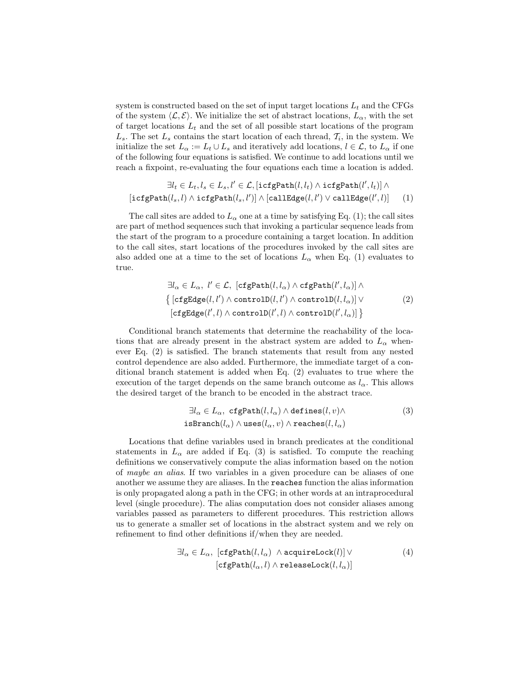system is constructed based on the set of input target locations  $L_t$  and the CFGs of the system  $\langle \mathcal{L}, \mathcal{E} \rangle$ . We initialize the set of abstract locations,  $L_{\alpha}$ , with the set of target locations  $L_t$  and the set of all possible start locations of the program  $L_s$ . The set  $L_s$  contains the start location of each thread,  $\mathcal{T}_i$ , in the system. We initialize the set  $L_{\alpha} := L_t \cup L_s$  and iteratively add locations,  $l \in \mathcal{L}$ , to  $L_{\alpha}$  if one of the following four equations is satisfied. We continue to add locations until we reach a fixpoint, re-evaluating the four equations each time a location is added.

$$
\exists l_t \in L_t, l_s \in L_s, l' \in \mathcal{L}, [\texttt{icfgPath}(l, l_t) \land \texttt{icfgPath}(l', l_t)] \land [\texttt{icfgPath}(l_s, l) \land \texttt{icfgPath}(l_s, l')] \land [\texttt{callEdge}(l, l') \lor \texttt{callEdge}(l', l)] \qquad (1)
$$

The call sites are added to  $L_{\alpha}$  one at a time by satisfying Eq. (1); the call sites are part of method sequences such that invoking a particular sequence leads from the start of the program to a procedure containing a target location. In addition to the call sites, start locations of the procedures invoked by the call sites are also added one at a time to the set of locations  $L_{\alpha}$  when Eq. (1) evaluates to true.

$$
\exists l_{\alpha} \in L_{\alpha}, l' \in \mathcal{L}, \left[ \text{cfgPath}(l, l_{\alpha}) \land \text{cfgPath}(l', l_{\alpha}) \right] \land \left\{ \left[ \text{cfgEdge}(l, l') \land \text{controlD}(l, l') \land \text{controlD}(l, l_{\alpha}) \right] \lor \left[ \text{cfgEdge}(l', l) \land \text{controlD}(l', l) \land \text{controlD}(l', l_{\alpha}) \right] \right\}
$$
\n(2)

Conditional branch statements that determine the reachability of the locations that are already present in the abstract system are added to  $L_{\alpha}$  whenever Eq. (2) is satisfied. The branch statements that result from any nested control dependence are also added. Furthermore, the immediate target of a conditional branch statement is added when Eq. (2) evaluates to true where the execution of the target depends on the same branch outcome as  $l_{\alpha}$ . This allows the desired target of the branch to be encoded in the abstract trace.

$$
\exists l_{\alpha} \in L_{\alpha}, \ \mathsf{cfgPath}(l, l_{\alpha}) \land \mathsf{defines}(l, v) \land \n\mathsf{isBranch}(l_{\alpha}) \land \mathsf{uses}(l_{\alpha}, v) \land \mathsf{reaches}(l, l_{\alpha})
$$
\n(3)

Locations that define variables used in branch predicates at the conditional statements in  $L_{\alpha}$  are added if Eq. (3) is satisfied. To compute the reaching definitions we conservatively compute the alias information based on the notion of maybe an alias. If two variables in a given procedure can be aliases of one another we assume they are aliases. In the reaches function the alias information is only propagated along a path in the CFG; in other words at an intraprocedural level (single procedure). The alias computation does not consider aliases among variables passed as parameters to different procedures. This restriction allows us to generate a smaller set of locations in the abstract system and we rely on refinement to find other definitions if/when they are needed.

$$
\exists l_{\alpha} \in L_{\alpha}, \ [\texttt{cfgPath}(l, l_{\alpha}) \land \texttt{acquireLock}(l)] \lor \ [\texttt{cfgPath}(l_{\alpha}, l) \land \texttt{releaseLock}(l, l_{\alpha})]
$$
\n(4)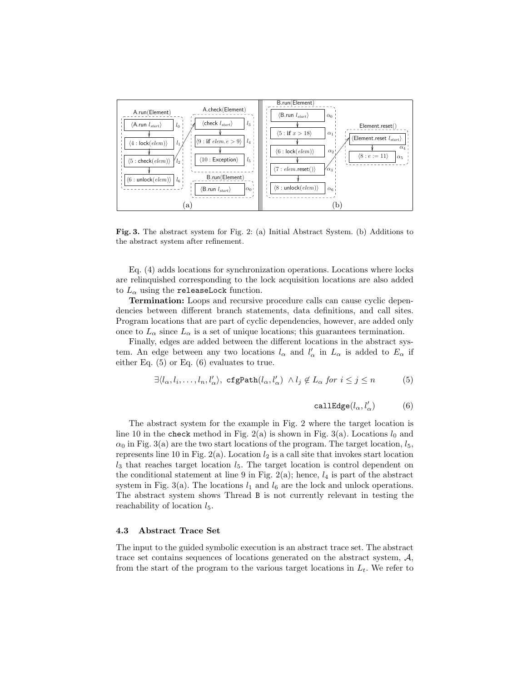

Fig. 3. The abstract system for Fig. 2: (a) Initial Abstract System. (b) Additions to the abstract system after refinement.

Eq. (4) adds locations for synchronization operations. Locations where locks are relinquished corresponding to the lock acquisition locations are also added to  $L_{\alpha}$  using the releaseLock function.

Termination: Loops and recursive procedure calls can cause cyclic dependencies between different branch statements, data definitions, and call sites. Program locations that are part of cyclic dependencies, however, are added only once to  $L_{\alpha}$  since  $L_{\alpha}$  is a set of unique locations; this guarantees termination.

Finally, edges are added between the different locations in the abstract system. An edge between any two locations  $l_{\alpha}$  and  $l'_{\alpha}$  in  $L_{\alpha}$  is added to  $E_{\alpha}$  if either Eq. (5) or Eq. (6) evaluates to true.

$$
\exists \langle l_{\alpha}, l_i, \dots, l_n, l_{\alpha}' \rangle, \ \mathsf{cfgPath}(l_{\alpha}, l_{\alpha}') \land l_j \notin L_{\alpha} \ \text{for} \ i \leq j \leq n \tag{5}
$$

$$
\mathtt{calledge}(l_\alpha, l'_\alpha) \qquad \quad \ \ (6)
$$

The abstract system for the example in Fig. 2 where the target location is line 10 in the check method in Fig. 2(a) is shown in Fig. 3(a). Locations  $l_0$  and  $\alpha_0$  in Fig. 3(a) are the two start locations of the program. The target location,  $l_5$ , represents line 10 in Fig. 2(a). Location  $l_2$  is a call site that invokes start location  $l_3$  that reaches target location  $l_5$ . The target location is control dependent on the conditional statement at line 9 in Fig. 2(a); hence,  $l_4$  is part of the abstract system in Fig. 3(a). The locations  $l_1$  and  $l_6$  are the lock and unlock operations. The abstract system shows Thread B is not currently relevant in testing the reachability of location  $l_5$ .

### 4.3 Abstract Trace Set

The input to the guided symbolic execution is an abstract trace set. The abstract trace set contains sequences of locations generated on the abstract system,  $A$ , from the start of the program to the various target locations in  $L_t$ . We refer to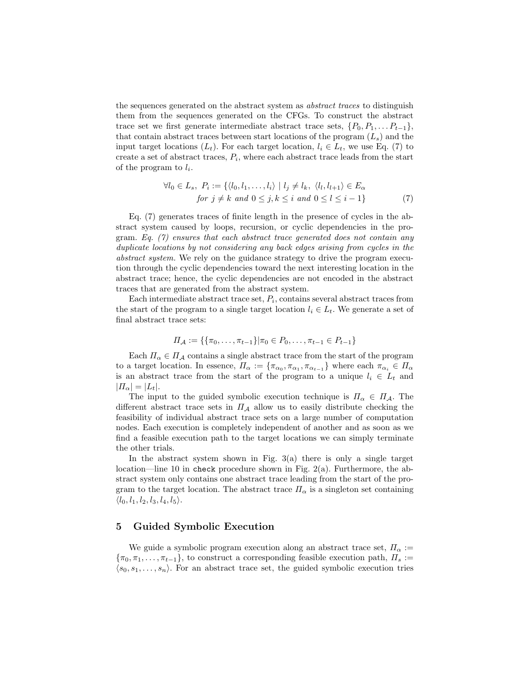the sequences generated on the abstract system as abstract traces to distinguish them from the sequences generated on the CFGs. To construct the abstract trace set we first generate intermediate abstract trace sets,  $\{P_0, P_1, \ldots, P_{t-1}\},\$ that contain abstract traces between start locations of the program  $(L_s)$  and the input target locations  $(L_t)$ . For each target location,  $l_i \in L_t$ , we use Eq. (7) to create a set of abstract traces,  $P_i$ , where each abstract trace leads from the start of the program to  $l_i$ .

$$
\forall l_0 \in L_s, \ P_i := \{ \langle l_0, l_1, \dots, l_i \rangle \mid l_j \neq l_k, \ \langle l_l, l_{l+1} \rangle \in E_\alpha \}
$$
  
for  $j \neq k$  and  $0 \leq j, k \leq i$  and  $0 \leq l \leq i - 1 \}$  (7)

Eq. (7) generates traces of finite length in the presence of cycles in the abstract system caused by loops, recursion, or cyclic dependencies in the program. Eq.  $(7)$  ensures that each abstract trace generated does not contain any duplicate locations by not considering any back edges arising from cycles in the abstract system. We rely on the guidance strategy to drive the program execution through the cyclic dependencies toward the next interesting location in the abstract trace; hence, the cyclic dependencies are not encoded in the abstract traces that are generated from the abstract system.

Each intermediate abstract trace set,  $P_i$ , contains several abstract traces from the start of the program to a single target location  $l_i \in L_t$ . We generate a set of final abstract trace sets:

$$
\Pi_{\mathcal{A}} := \{ \{\pi_0, \ldots, \pi_{t-1}\} | \pi_0 \in P_0, \ldots, \pi_{t-1} \in P_{t-1} \}
$$

Each  $\Pi_{\alpha} \in \Pi_A$  contains a single abstract trace from the start of the program to a target location. In essence,  $\Pi_{\alpha} := \{\pi_{\alpha_0}, \pi_{\alpha_1}, \pi_{\alpha_{t-1}}\}$  where each  $\pi_{\alpha_i} \in \Pi_{\alpha_i}$ is an abstract trace from the start of the program to a unique  $l_i \in L_t$  and  $|H_{\alpha}| = |L_t|.$ 

The input to the guided symbolic execution technique is  $\Pi_{\alpha} \in \Pi_{\mathcal{A}}$ . The different abstract trace sets in  $\Pi_A$  allow us to easily distribute checking the feasibility of individual abstract trace sets on a large number of computation nodes. Each execution is completely independent of another and as soon as we find a feasible execution path to the target locations we can simply terminate the other trials.

In the abstract system shown in Fig.  $3(a)$  there is only a single target location—line 10 in check procedure shown in Fig. 2(a). Furthermore, the abstract system only contains one abstract trace leading from the start of the program to the target location. The abstract trace  $\Pi_{\alpha}$  is a singleton set containing  $\langle l_0, l_1, l_2, l_3, l_4, l_5 \rangle$ .

## 5 Guided Symbolic Execution

We guide a symbolic program execution along an abstract trace set,  $\Pi_{\alpha}$  :=  ${\lbrace \pi_0, \pi_1, \ldots, \pi_{t-1} \rbrace}$ , to construct a corresponding feasible execution path,  $\Pi_s :=$  $\langle s_0, s_1, \ldots, s_n \rangle$ . For an abstract trace set, the guided symbolic execution tries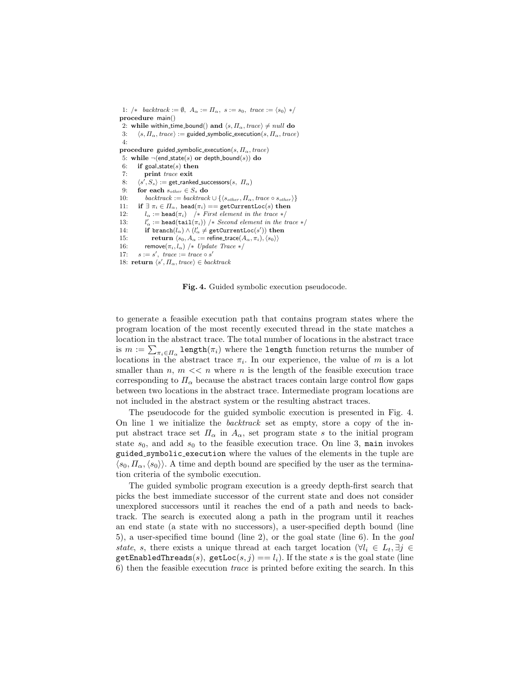1: /\* backtrack :=  $\emptyset$ ,  $A_{\alpha} := \Pi_{\alpha}$ ,  $s := s_0$ , trace :=  $\langle s_0 \rangle$  \*/ procedure main() 2: while within time bound() and  $\langle s, \Pi_\alpha, \text{trace} \rangle \neq null$  do 3:  $\langle s, \Pi_{\alpha}, \text{trace} \rangle :=$  guided symbolic execution(s,  $\Pi_{\alpha}, \text{trace}$ ) 4: procedure guided symbolic execution(s,  $\Pi_{\alpha}$ , trace) 5: while  $\neg$ (end\_state(s) or depth\_bound(s)) do 6: if goal\_state(s) then 7: print trace exit 8:  $\langle s', S_s \rangle :=$  get\_ranked\_successors $(s, \Pi_\alpha)$ 9: **for each**  $s_{other} \in S_s$  **do**<br>10: **backtrack** := **backtrack**  $backtrack := \text{backtrack} \cup \{ \langle s_{other}, \Pi_{\alpha}, \text{trace} \circ s_{other} \rangle \}$ 11: if  $\exists \pi_i \in \Pi_\alpha$ , head $(\pi_i) = \text{getCurrentLoc}(s)$  then<br>12:  $l_\alpha := \text{head}(\pi_i)$  /\* First element in the trace \*/  $l_{\alpha} := \texttt{head}(\pi_i)$  /\* First element in the trace \*/ 13:  $\mathcal{L}'_{\alpha} := \mathtt{head}(\mathtt{tail}(\pi_i))$  /\* Second element in the trace \*/ 14: if  $branch(l_{\alpha}) \wedge (l'_{\alpha} \neq getCurrentLoc(s'))$  then 15: return  $\langle s_0, A_\alpha := \text{refine\_trace}(A_\alpha, \pi_i), \langle s_0 \rangle \rangle$ 16: remove $(\pi_i, l_\alpha)$  /\* Update Trace \*/ 17:  $s := s'$ , trace := trace  $\circ s'$ 18: return  $\langle s', \Pi_{\alpha}, \text{trace} \rangle \in \text{backtrack}$ 

Fig. 4. Guided symbolic execution pseudocode.

to generate a feasible execution path that contains program states where the program location of the most recently executed thread in the state matches a location in the abstract trace. The total number of locations in the abstract trace is  $m := \sum_{\pi_i \in \Pi_\alpha} \texttt{length}(\pi_i)$  where the length function returns the number of locations in the abstract trace  $\pi_i$ . In our experience, the value of m is a lot smaller than  $n, m \ll n$  where n is the length of the feasible execution trace corresponding to  $\Pi_{\alpha}$  because the abstract traces contain large control flow gaps between two locations in the abstract trace. Intermediate program locations are not included in the abstract system or the resulting abstract traces.

The pseudocode for the guided symbolic execution is presented in Fig. 4. On line 1 we initialize the backtrack set as empty, store a copy of the input abstract trace set  $\Pi_{\alpha}$  in  $A_{\alpha}$ , set program state s to the initial program state  $s_0$ , and add  $s_0$  to the feasible execution trace. On line 3, main invokes guided symbolic execution where the values of the elements in the tuple are  $\langle s_0, \Pi_\alpha,\langle s_0\rangle\rangle$ . A time and depth bound are specified by the user as the termination criteria of the symbolic execution.

The guided symbolic program execution is a greedy depth-first search that picks the best immediate successor of the current state and does not consider unexplored successors until it reaches the end of a path and needs to backtrack. The search is executed along a path in the program until it reaches an end state (a state with no successors), a user-specified depth bound (line 5), a user-specified time bound (line 2), or the goal state (line 6). In the goal state, s, there exists a unique thread at each target location ( $\forall l_i \in L_t, \exists j \in$ getEnabledThreads(s), getLoc(s, j) ==  $l_i$ ). If the state s is the goal state (line 6) then the feasible execution trace is printed before exiting the search. In this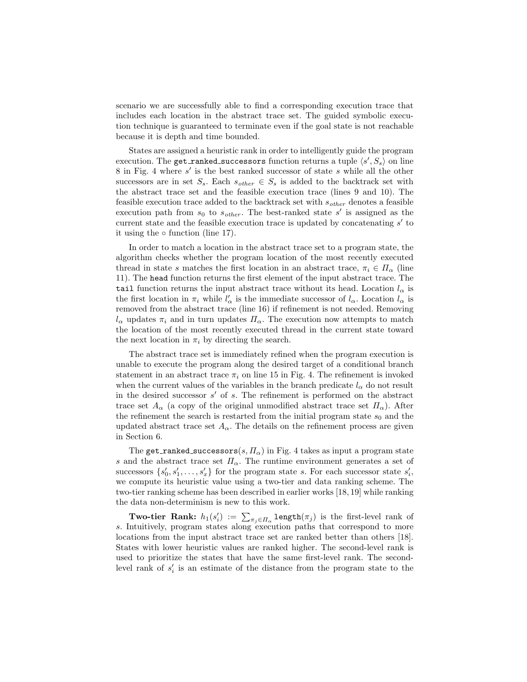scenario we are successfully able to find a corresponding execution trace that includes each location in the abstract trace set. The guided symbolic execution technique is guaranteed to terminate even if the goal state is not reachable because it is depth and time bounded.

States are assigned a heuristic rank in order to intelligently guide the program execution. The get ranked successors function returns a tuple  $\langle s', S_s \rangle$  on line  $8$  in Fig. 4 where  $s'$  is the best ranked successor of state  $s$  while all the other successors are in set  $S_s$ . Each  $s_{other} \in S_s$  is added to the backtrack set with the abstract trace set and the feasible execution trace (lines 9 and 10). The feasible execution trace added to the backtrack set with  $s_{other}$  denotes a feasible execution path from  $s_0$  to  $s_{other}$ . The best-ranked state s' is assigned as the current state and the feasible execution trace is updated by concatenating  $s'$  to it using the  $\circ$  function (line 17).

In order to match a location in the abstract trace set to a program state, the algorithm checks whether the program location of the most recently executed thread in state s matches the first location in an abstract trace,  $\pi_i \in \Pi_\alpha$  (line 11). The head function returns the first element of the input abstract trace. The tail function returns the input abstract trace without its head. Location  $l_{\alpha}$  is the first location in  $\pi_i$  while  $l'_\n\alpha$  is the immediate successor of  $l_\alpha$ . Location  $l_\alpha$  is removed from the abstract trace (line 16) if refinement is not needed. Removing  $l_{\alpha}$  updates  $\pi_i$  and in turn updates  $\Pi_{\alpha}$ . The execution now attempts to match the location of the most recently executed thread in the current state toward the next location in  $\pi_i$  by directing the search.

The abstract trace set is immediately refined when the program execution is unable to execute the program along the desired target of a conditional branch statement in an abstract trace  $\pi_i$  on line 15 in Fig. 4. The refinement is invoked when the current values of the variables in the branch predicate  $l_{\alpha}$  do not result in the desired successor  $s'$  of  $s$ . The refinement is performed on the abstract trace set  $A_{\alpha}$  (a copy of the original unmodified abstract trace set  $\Pi_{\alpha}$ ). After the refinement the search is restarted from the initial program state  $s_0$  and the updated abstract trace set  $A_{\alpha}$ . The details on the refinement process are given in Section 6.

The get ranked successors(s,  $\Pi_{\alpha}$ ) in Fig. 4 takes as input a program state s and the abstract trace set  $\Pi_{\alpha}$ . The runtime environment generates a set of successors  $\{s'_0, s'_1, \ldots, s'_x\}$  for the program state s. For each successor state  $s'_i$ , we compute its heuristic value using a two-tier and data ranking scheme. The two-tier ranking scheme has been described in earlier works [18, 19] while ranking the data non-determinism is new to this work.

**Two-tier Rank:**  $h_1(s'_i) := \sum_{\pi_j \in \Pi_\alpha} \text{length}(\pi_j)$  is the first-level rank of s. Intuitively, program states along execution paths that correspond to more locations from the input abstract trace set are ranked better than others [18]. States with lower heuristic values are ranked higher. The second-level rank is used to prioritize the states that have the same first-level rank. The secondlevel rank of  $s_i'$  is an estimate of the distance from the program state to the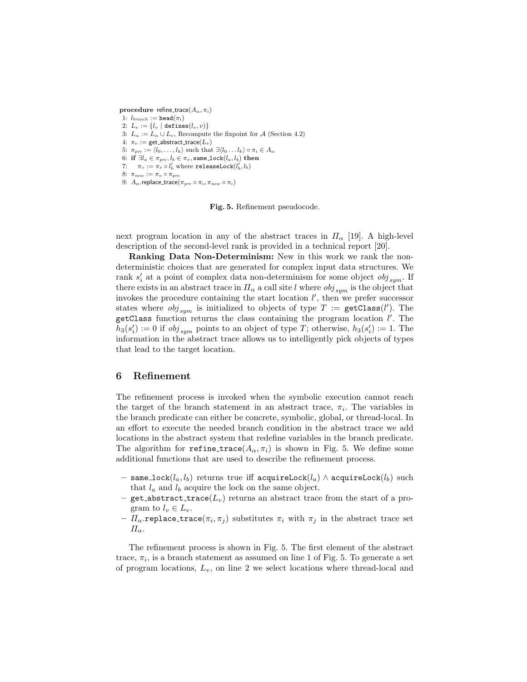procedure refine\_trace( $A_{\alpha}, \pi_{i}$ ) 1:  $l_{branch} := \texttt{head}(\pi_i)$ 2:  $L_v := \{l_v \mid \text{defines}(l_v, v)\}\$ 3:  $L_{\alpha} := L_{\alpha} \cup L_{\nu}$ , Recompute the fixpoint for A (Section 4.2) 4:  $\pi_v := \text{get\_abstract\_trace}(L_v)$ 5:  $\pi_{pre} := \langle l_0, \ldots, l_k \rangle$  such that  $\exists \langle l_0 \ldots l_k \rangle \circ \pi_i \in A_\alpha$ 6: if  $\exists l_a \in \pi_{pre}, l_b \in \pi_v$ , same\_lock $(l_a, l_b)$  then 7:  $\pi_v := \pi_v \circ l'_b$  where releaseLock $(l'_b, l_b)$ 8:  $\pi_{new} := \pi_v \circ \pi_{pre}$ 9:  $A_{\alpha}$ .replace\_trace( $\pi_{pre} \circ \pi_i$ ,  $\pi_{new} \circ \pi_i$ )

Fig. 5. Refinement pseudocode.

next program location in any of the abstract traces in  $\Pi_{\alpha}$  [19]. A high-level description of the second-level rank is provided in a technical report [20].

Ranking Data Non-Determinism: New in this work we rank the nondeterministic choices that are generated for complex input data structures. We rank  $s_i'$  at a point of complex data non-determinism for some object  $obj_{sym}$ . If there exists in an abstract trace in  $\Pi_{\alpha}$  a call site l where  $obj_{sym}$  is the object that invokes the procedure containing the start location  $l'$ , then we prefer successor states where  $obj_{sym}$  is initialized to objects of type  $T := \texttt{getClass}(l')$ . The getClass function returns the class containing the program location  $l'$ . The  $h_3(s'_i) := 0$  if  $obj_{sym}$  points to an object of type T; otherwise,  $h_3(s'_i) := 1$ . The information in the abstract trace allows us to intelligently pick objects of types that lead to the target location.

## 6 Refinement

The refinement process is invoked when the symbolic execution cannot reach the target of the branch statement in an abstract trace,  $\pi_i$ . The variables in the branch predicate can either be concrete, symbolic, global, or thread-local. In an effort to execute the needed branch condition in the abstract trace we add locations in the abstract system that redefine variables in the branch predicate. The algorithm for refine trace( $A_{\alpha}, \pi_i$ ) is shown in Fig. 5. We define some additional functions that are used to describe the refinement process.

- same\_lock $(l_a, l_b)$  returns true iff acquireLock $(l_a)$  ∧ acquireLock $(l_b)$  such that  $l_a$  and  $l_b$  acquire the lock on the same object.
- get abstract trace( $L_v$ ) returns an abstract trace from the start of a program to  $l_v \in L_v$ .
- $\Pi_{\alpha}$ .replace\_trace( $\pi_i$ ,  $\pi_j$ ) substitutes  $\pi_i$  with  $\pi_j$  in the abstract trace set  $\Pi_{\alpha}$ .

The refinement process is shown in Fig. 5. The first element of the abstract trace,  $\pi_i$ , is a branch statement as assumed on line 1 of Fig. 5. To generate a set of program locations,  $L_v$ , on line 2 we select locations where thread-local and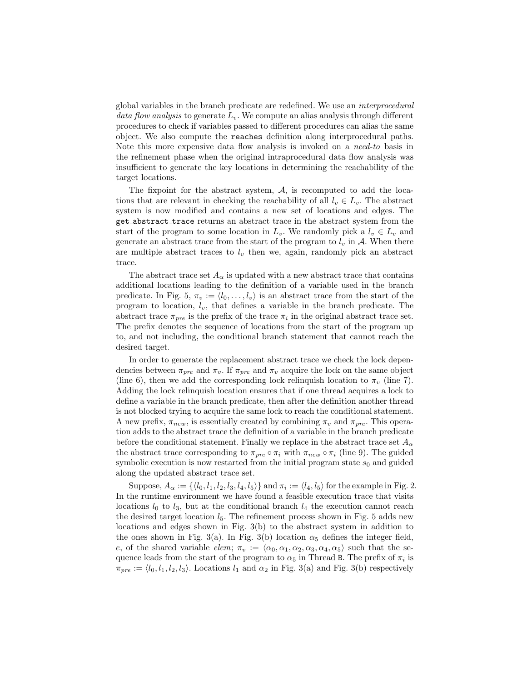global variables in the branch predicate are redefined. We use an interprocedural data flow analysis to generate  $L_v$ . We compute an alias analysis through different procedures to check if variables passed to different procedures can alias the same object. We also compute the reaches definition along interprocedural paths. Note this more expensive data flow analysis is invoked on a need-to basis in the refinement phase when the original intraprocedural data flow analysis was insufficient to generate the key locations in determining the reachability of the target locations.

The fixpoint for the abstract system, A, is recomputed to add the locations that are relevant in checking the reachability of all  $l_v \in L_v$ . The abstract system is now modified and contains a new set of locations and edges. The get abstract trace returns an abstract trace in the abstract system from the start of the program to some location in  $L_v$ . We randomly pick a  $l_v \in L_v$  and generate an abstract trace from the start of the program to  $l_v$  in A. When there are multiple abstract traces to  $l_v$  then we, again, randomly pick an abstract trace.

The abstract trace set  $A_{\alpha}$  is updated with a new abstract trace that contains additional locations leading to the definition of a variable used in the branch predicate. In Fig. 5,  $\pi_v := \langle l_0, \ldots, l_v \rangle$  is an abstract trace from the start of the program to location,  $l_v$ , that defines a variable in the branch predicate. The abstract trace  $\pi_{pre}$  is the prefix of the trace  $\pi_i$  in the original abstract trace set. The prefix denotes the sequence of locations from the start of the program up to, and not including, the conditional branch statement that cannot reach the desired target.

In order to generate the replacement abstract trace we check the lock dependencies between  $\pi_{pre}$  and  $\pi_v$ . If  $\pi_{pre}$  and  $\pi_v$  acquire the lock on the same object (line 6), then we add the corresponding lock relinquish location to  $\pi$ <sub>v</sub> (line 7). Adding the lock relinquish location ensures that if one thread acquires a lock to define a variable in the branch predicate, then after the definition another thread is not blocked trying to acquire the same lock to reach the conditional statement. A new prefix,  $\pi_{new}$ , is essentially created by combining  $\pi_v$  and  $\pi_{pre}$ . This operation adds to the abstract trace the definition of a variable in the branch predicate before the conditional statement. Finally we replace in the abstract trace set  $A_{\alpha}$ the abstract trace corresponding to  $\pi_{pre} \circ \pi_i$  with  $\pi_{new} \circ \pi_i$  (line 9). The guided symbolic execution is now restarted from the initial program state  $s_0$  and guided along the updated abstract trace set.

Suppose,  $A_{\alpha} := \{ \langle l_0, l_1, l_2, l_3, l_4, l_5 \rangle \}$  and  $\pi_i := \langle l_4, l_5 \rangle$  for the example in Fig. 2. In the runtime environment we have found a feasible execution trace that visits locations  $l_0$  to  $l_3$ , but at the conditional branch  $l_4$  the execution cannot reach the desired target location  $l_5$ . The refinement process shown in Fig. 5 adds new locations and edges shown in Fig. 3(b) to the abstract system in addition to the ones shown in Fig. 3(a). In Fig. 3(b) location  $\alpha_5$  defines the integer field, e, of the shared variable elem;  $\pi_v := \langle \alpha_0, \alpha_1, \alpha_2, \alpha_3, \alpha_4, \alpha_5 \rangle$  such that the sequence leads from the start of the program to  $\alpha_5$  in Thread B. The prefix of  $\pi_i$  is  $\pi_{pre} := \langle l_0, l_1, l_2, l_3 \rangle$ . Locations  $l_1$  and  $\alpha_2$  in Fig. 3(a) and Fig. 3(b) respectively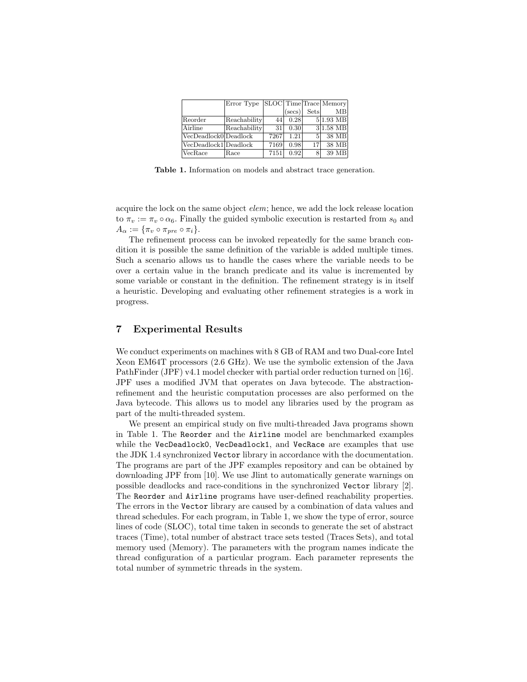|                       | Error Type SLOC Time Trace Memory |      |                 |               |                     |
|-----------------------|-----------------------------------|------|-----------------|---------------|---------------------|
|                       |                                   |      | $(\text{secs})$ | Sets          | MB                  |
| Reorder               | Reachability                      | 44   | 0.28            |               | $5 1.93 \text{ MB}$ |
| Airline               | Reachability                      | 31   | 0.30            |               | $3 1.58$ MB         |
| VecDeadlock0 Deadlock |                                   | 7267 | 1.21            | $\frac{5}{2}$ | 38 MB               |
| VecDeadlock1 Deadlock |                                   | 7169 | 0.98            | 17            | 38 MB               |
| VecRace               | Race                              | 7151 | 0.92            | 8             | 39 MB               |

Table 1. Information on models and abstract trace generation.

acquire the lock on the same object elem; hence, we add the lock release location to  $\pi_v := \pi_v \circ \alpha_6$ . Finally the guided symbolic execution is restarted from  $s_0$  and  $A_{\alpha} := {\pi_v \circ \pi_{pre} \circ \pi_i}.$ 

The refinement process can be invoked repeatedly for the same branch condition it is possible the same definition of the variable is added multiple times. Such a scenario allows us to handle the cases where the variable needs to be over a certain value in the branch predicate and its value is incremented by some variable or constant in the definition. The refinement strategy is in itself a heuristic. Developing and evaluating other refinement strategies is a work in progress.

## 7 Experimental Results

We conduct experiments on machines with 8 GB of RAM and two Dual-core Intel Xeon EM64T processors (2.6 GHz). We use the symbolic extension of the Java PathFinder (JPF) v4.1 model checker with partial order reduction turned on [16]. JPF uses a modified JVM that operates on Java bytecode. The abstractionrefinement and the heuristic computation processes are also performed on the Java bytecode. This allows us to model any libraries used by the program as part of the multi-threaded system.

We present an empirical study on five multi-threaded Java programs shown in Table 1. The Reorder and the Airline model are benchmarked examples while the VecDeadlock0, VecDeadlock1, and VecRace are examples that use the JDK 1.4 synchronized Vector library in accordance with the documentation. The programs are part of the JPF examples repository and can be obtained by downloading JPF from [10]. We use Jlint to automatically generate warnings on possible deadlocks and race-conditions in the synchronized Vector library [2]. The Reorder and Airline programs have user-defined reachability properties. The errors in the Vector library are caused by a combination of data values and thread schedules. For each program, in Table 1, we show the type of error, source lines of code (SLOC), total time taken in seconds to generate the set of abstract traces (Time), total number of abstract trace sets tested (Traces Sets), and total memory used (Memory). The parameters with the program names indicate the thread configuration of a particular program. Each parameter represents the total number of symmetric threads in the system.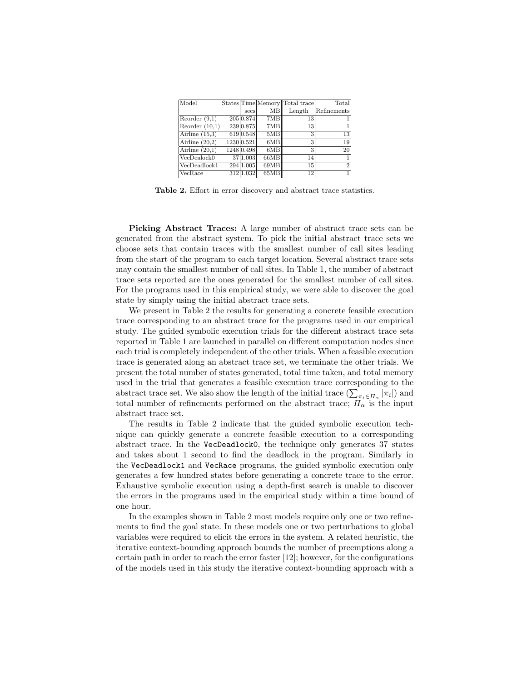| Model            |            |      | States Time Memory Total trace | Total          |
|------------------|------------|------|--------------------------------|----------------|
|                  | secs       | MВ   | Length                         | Refinements    |
| Reorder $(9,1)$  | 205 0.874  | 7MB  | 13                             |                |
| Reorder $(10,1)$ | 239 0.875  | 7MB  | 13                             | 1.             |
| Airline $(15.3)$ | 619 0.548  | 5MB  | 3                              | 13             |
| Airline $(20.2)$ | 1230 0.521 | 6MB  | 3                              | 19             |
| Airline $(20,1)$ | 1248 0.498 | 6MB  | 3                              | 20             |
| VecDealock0      | 37 1.003   | 66MB | 14                             | 1              |
| VecDeadlock1     | 294 1.005  | 69MB | 15                             | $\overline{2}$ |
| VecRace          | 312 1.032  | 65MB | 12                             | 1              |

Table 2. Effort in error discovery and abstract trace statistics.

Picking Abstract Traces: A large number of abstract trace sets can be generated from the abstract system. To pick the initial abstract trace sets we choose sets that contain traces with the smallest number of call sites leading from the start of the program to each target location. Several abstract trace sets may contain the smallest number of call sites. In Table 1, the number of abstract trace sets reported are the ones generated for the smallest number of call sites. For the programs used in this empirical study, we were able to discover the goal state by simply using the initial abstract trace sets.

We present in Table 2 the results for generating a concrete feasible execution trace corresponding to an abstract trace for the programs used in our empirical study. The guided symbolic execution trials for the different abstract trace sets reported in Table 1 are launched in parallel on different computation nodes since each trial is completely independent of the other trials. When a feasible execution trace is generated along an abstract trace set, we terminate the other trials. We present the total number of states generated, total time taken, and total memory used in the trial that generates a feasible execution trace corresponding to the abstract trace set. We also show the length of the initial trace  $(\sum_{\pi_i \in \Pi_{\alpha}} |\pi_i|)$  and total number of refinements performed on the abstract trace;  $\Pi_{\alpha}$  is the input abstract trace set.

The results in Table 2 indicate that the guided symbolic execution technique can quickly generate a concrete feasible execution to a corresponding abstract trace. In the VecDeadlock0, the technique only generates 37 states and takes about 1 second to find the deadlock in the program. Similarly in the VecDeadlock1 and VecRace programs, the guided symbolic execution only generates a few hundred states before generating a concrete trace to the error. Exhaustive symbolic execution using a depth-first search is unable to discover the errors in the programs used in the empirical study within a time bound of one hour.

In the examples shown in Table 2 most models require only one or two refinements to find the goal state. In these models one or two perturbations to global variables were required to elicit the errors in the system. A related heuristic, the iterative context-bounding approach bounds the number of preemptions along a certain path in order to reach the error faster [12]; however, for the configurations of the models used in this study the iterative context-bounding approach with a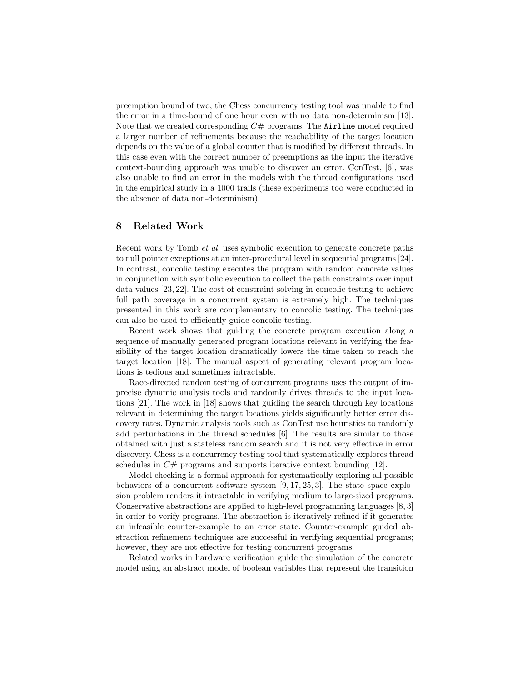preemption bound of two, the Chess concurrency testing tool was unable to find the error in a time-bound of one hour even with no data non-determinism [13]. Note that we created corresponding  $C#$  programs. The Airline model required a larger number of refinements because the reachability of the target location depends on the value of a global counter that is modified by different threads. In this case even with the correct number of preemptions as the input the iterative context-bounding approach was unable to discover an error. ConTest, [6], was also unable to find an error in the models with the thread configurations used in the empirical study in a 1000 trails (these experiments too were conducted in the absence of data non-determinism).

## 8 Related Work

Recent work by Tomb et al. uses symbolic execution to generate concrete paths to null pointer exceptions at an inter-procedural level in sequential programs [24]. In contrast, concolic testing executes the program with random concrete values in conjunction with symbolic execution to collect the path constraints over input data values [23, 22]. The cost of constraint solving in concolic testing to achieve full path coverage in a concurrent system is extremely high. The techniques presented in this work are complementary to concolic testing. The techniques can also be used to efficiently guide concolic testing.

Recent work shows that guiding the concrete program execution along a sequence of manually generated program locations relevant in verifying the feasibility of the target location dramatically lowers the time taken to reach the target location [18]. The manual aspect of generating relevant program locations is tedious and sometimes intractable.

Race-directed random testing of concurrent programs uses the output of imprecise dynamic analysis tools and randomly drives threads to the input locations [21]. The work in [18] shows that guiding the search through key locations relevant in determining the target locations yields significantly better error discovery rates. Dynamic analysis tools such as ConTest use heuristics to randomly add perturbations in the thread schedules [6]. The results are similar to those obtained with just a stateless random search and it is not very effective in error discovery. Chess is a concurrency testing tool that systematically explores thread schedules in  $C#$  programs and supports iterative context bounding [12].

Model checking is a formal approach for systematically exploring all possible behaviors of a concurrent software system [9, 17, 25, 3]. The state space explosion problem renders it intractable in verifying medium to large-sized programs. Conservative abstractions are applied to high-level programming languages [8, 3] in order to verify programs. The abstraction is iteratively refined if it generates an infeasible counter-example to an error state. Counter-example guided abstraction refinement techniques are successful in verifying sequential programs; however, they are not effective for testing concurrent programs.

Related works in hardware verification guide the simulation of the concrete model using an abstract model of boolean variables that represent the transition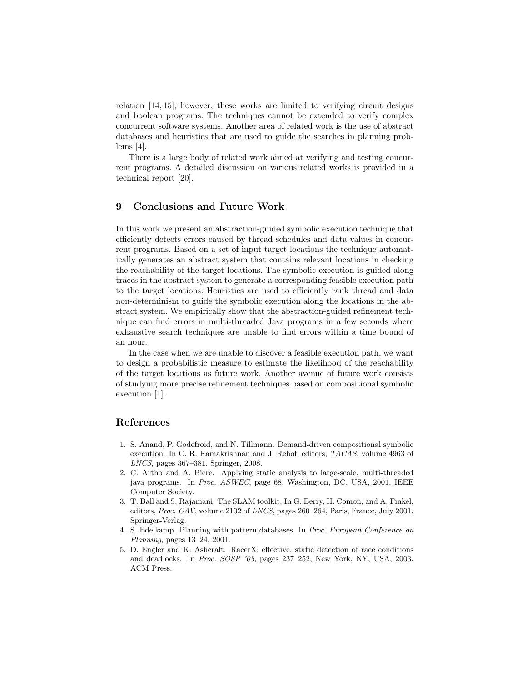relation [14, 15]; however, these works are limited to verifying circuit designs and boolean programs. The techniques cannot be extended to verify complex concurrent software systems. Another area of related work is the use of abstract databases and heuristics that are used to guide the searches in planning problems [4].

There is a large body of related work aimed at verifying and testing concurrent programs. A detailed discussion on various related works is provided in a technical report [20].

## 9 Conclusions and Future Work

In this work we present an abstraction-guided symbolic execution technique that efficiently detects errors caused by thread schedules and data values in concurrent programs. Based on a set of input target locations the technique automatically generates an abstract system that contains relevant locations in checking the reachability of the target locations. The symbolic execution is guided along traces in the abstract system to generate a corresponding feasible execution path to the target locations. Heuristics are used to efficiently rank thread and data non-determinism to guide the symbolic execution along the locations in the abstract system. We empirically show that the abstraction-guided refinement technique can find errors in multi-threaded Java programs in a few seconds where exhaustive search techniques are unable to find errors within a time bound of an hour.

In the case when we are unable to discover a feasible execution path, we want to design a probabilistic measure to estimate the likelihood of the reachability of the target locations as future work. Another avenue of future work consists of studying more precise refinement techniques based on compositional symbolic execution [1].

## References

- 1. S. Anand, P. Godefroid, and N. Tillmann. Demand-driven compositional symbolic execution. In C. R. Ramakrishnan and J. Rehof, editors, TACAS, volume 4963 of LNCS, pages 367–381. Springer, 2008.
- 2. C. Artho and A. Biere. Applying static analysis to large-scale, multi-threaded java programs. In Proc. ASWEC, page 68, Washington, DC, USA, 2001. IEEE Computer Society.
- 3. T. Ball and S. Rajamani. The SLAM toolkit. In G. Berry, H. Comon, and A. Finkel, editors, Proc. CAV, volume 2102 of LNCS, pages 260–264, Paris, France, July 2001. Springer-Verlag.
- 4. S. Edelkamp. Planning with pattern databases. In Proc. European Conference on Planning, pages 13–24, 2001.
- 5. D. Engler and K. Ashcraft. RacerX: effective, static detection of race conditions and deadlocks. In Proc. SOSP '03, pages 237–252, New York, NY, USA, 2003. ACM Press.